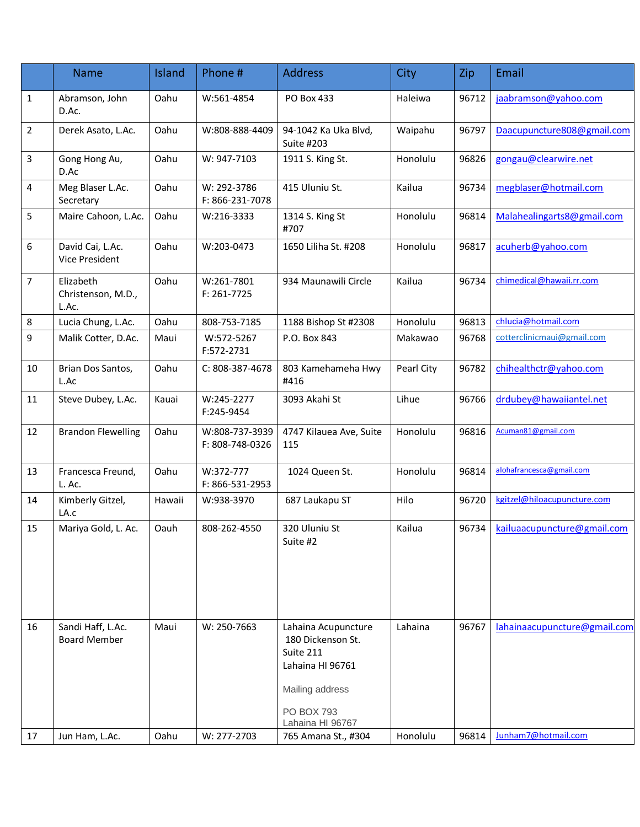|                | <b>Name</b>                              | Island | Phone #                           | <b>Address</b>                                                                                                                        | <b>City</b> | Zip   | Email                        |
|----------------|------------------------------------------|--------|-----------------------------------|---------------------------------------------------------------------------------------------------------------------------------------|-------------|-------|------------------------------|
| 1              | Abramson, John<br>D.Ac.                  | Oahu   | W:561-4854                        | PO Box 433                                                                                                                            | Haleiwa     | 96712 | jaabramson@yahoo.com         |
| $\overline{2}$ | Derek Asato, L.Ac.                       | Oahu   | W:808-888-4409                    | 94-1042 Ka Uka Blvd,<br>Suite #203                                                                                                    | Waipahu     | 96797 | Daacupuncture808@gmail.com   |
| 3              | Gong Hong Au,<br>D.Ac                    | Oahu   | W: 947-7103                       | 1911 S. King St.                                                                                                                      | Honolulu    | 96826 | gongau@clearwire.net         |
| 4              | Meg Blaser L.Ac.<br>Secretary            | Oahu   | W: 292-3786<br>F: 866-231-7078    | 415 Uluniu St.                                                                                                                        | Kailua      | 96734 | megblaser@hotmail.com        |
| 5              | Maire Cahoon, L.Ac.                      | Oahu   | W:216-3333                        | 1314 S. King St<br>#707                                                                                                               | Honolulu    | 96814 | Malahealingarts8@gmail.com   |
| 6              | David Cai, L.Ac.<br>Vice President       | Oahu   | W:203-0473                        | 1650 Liliha St. #208                                                                                                                  | Honolulu    | 96817 | acuherb@yahoo.com            |
| $\overline{7}$ | Elizabeth<br>Christenson, M.D.,<br>L.Ac. | Oahu   | W:261-7801<br>F: 261-7725         | 934 Maunawili Circle                                                                                                                  | Kailua      | 96734 | chimedical@hawaii.rr.com     |
| $\bf 8$        | Lucia Chung, L.Ac.                       | Oahu   | 808-753-7185                      | 1188 Bishop St #2308                                                                                                                  | Honolulu    | 96813 | chlucia@hotmail.com          |
| 9              | Malik Cotter, D.Ac.                      | Maui   | W:572-5267<br>F:572-2731          | P.O. Box 843                                                                                                                          | Makawao     | 96768 | cotterclinicmaui@gmail.com   |
| 10             | Brian Dos Santos,<br>L.Ac                | Oahu   | C: 808-387-4678                   | 803 Kamehameha Hwy<br>#416                                                                                                            | Pearl City  | 96782 | chihealthctr@yahoo.com       |
| 11             | Steve Dubey, L.Ac.                       | Kauai  | W:245-2277<br>F:245-9454          | 3093 Akahi St                                                                                                                         | Lihue       | 96766 | drdubey@hawaiiantel.net      |
| 12             | <b>Brandon Flewelling</b>                | Oahu   | W:808-737-3939<br>F: 808-748-0326 | 4747 Kilauea Ave, Suite<br>115                                                                                                        | Honolulu    | 96816 | Acuman81@gmail.com           |
| 13             | Francesca Freund,<br>L. Ac.              | Oahu   | W:372-777<br>F: 866-531-2953      | 1024 Queen St.                                                                                                                        | Honolulu    | 96814 | alohafrancesca@gmail.com     |
| 14             | Kimberly Gitzel,<br>LA.c                 | Hawaii | W:938-3970                        | 687 Laukapu ST                                                                                                                        | Hilo        | 96720 | kgitzel@hiloacupuncture.com  |
| 15             | Mariya Gold, L. Ac.                      | Oauh   | 808-262-4550                      | 320 Uluniu St<br>Suite #2                                                                                                             | Kailua      | 96734 | kailuaacupuncture@gmail.com  |
| 16             | Sandi Haff, L.Ac.<br><b>Board Member</b> | Maui   | W: 250-7663                       | Lahaina Acupuncture<br>180 Dickenson St.<br>Suite 211<br>Lahaina HI 96761<br>Mailing address<br><b>PO BOX 793</b><br>Lahaina HI 96767 | Lahaina     | 96767 | lahainaacupuncture@gmail.com |
| 17             | Jun Ham, L.Ac.                           | Oahu   | W: 277-2703                       | 765 Amana St., #304                                                                                                                   | Honolulu    | 96814 | Junham7@hotmail.com          |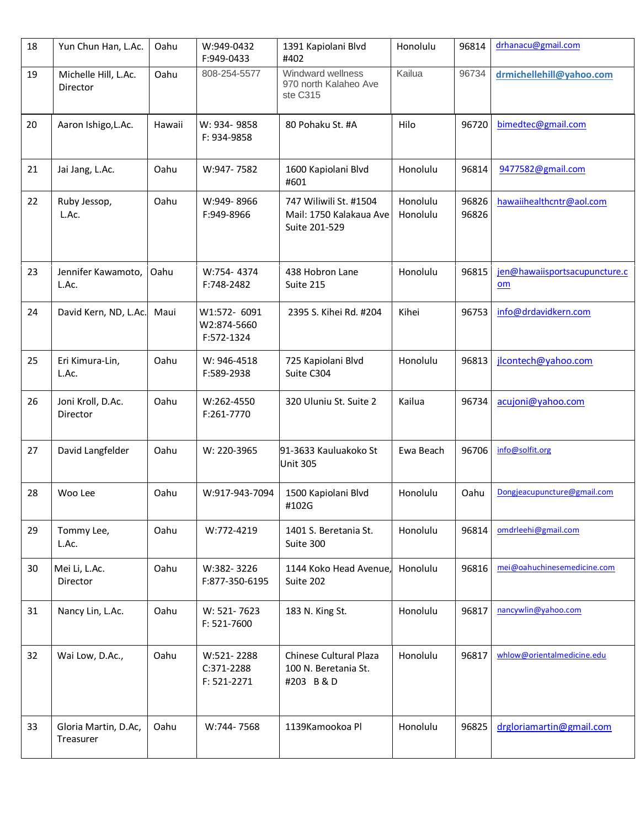| 18 | Yun Chun Han, L.Ac.               | Oahu   | W:949-0432<br>F:949-0433                  | 1391 Kapiolani Blvd<br>#402                                        | Honolulu             | 96814          | drhanacu@gmail.com                  |
|----|-----------------------------------|--------|-------------------------------------------|--------------------------------------------------------------------|----------------------|----------------|-------------------------------------|
| 19 | Michelle Hill, L.Ac.<br>Director  | Oahu   | 808-254-5577                              | Windward wellness<br>970 north Kalaheo Ave<br>ste C315             | Kailua               | 96734          | drmichellehill@yahoo.com            |
| 20 | Aaron Ishigo, L.Ac.               | Hawaii | W: 934-9858<br>F: 934-9858                | 80 Pohaku St. #A                                                   | Hilo                 | 96720          | bimedtec@gmail.com                  |
| 21 | Jai Jang, L.Ac.                   | Oahu   | W:947-7582                                | 1600 Kapiolani Blvd<br>#601                                        | Honolulu             | 96814          | 9477582@gmail.com                   |
| 22 | Ruby Jessop,<br>L.Ac.             | Oahu   | W:949-8966<br>F:949-8966                  | 747 Wiliwili St. #1504<br>Mail: 1750 Kalakaua Ave<br>Suite 201-529 | Honolulu<br>Honolulu | 96826<br>96826 | hawaiihealthcntr@aol.com            |
| 23 | Jennifer Kawamoto,<br>L.Ac.       | Oahu   | W:754-4374<br>F:748-2482                  | 438 Hobron Lane<br>Suite 215                                       | Honolulu             | 96815          | jen@hawaiisportsacupuncture.c<br>om |
| 24 | David Kern, ND, L.Ac.             | Maui   | W1:572- 6091<br>W2:874-5660<br>F:572-1324 | 2395 S. Kihei Rd. #204                                             | Kihei                | 96753          | info@drdavidkern.com                |
| 25 | Eri Kimura-Lin,<br>L.Ac.          | Oahu   | W: 946-4518<br>F:589-2938                 | 725 Kapiolani Blvd<br>Suite C304                                   | Honolulu             | 96813          | jlcontech@yahoo.com                 |
| 26 | Joni Kroll, D.Ac.<br>Director     | Oahu   | W:262-4550<br>F:261-7770                  | 320 Uluniu St. Suite 2                                             | Kailua               | 96734          | acujoni@yahoo.com                   |
| 27 | David Langfelder                  | Oahu   | W: 220-3965                               | 91-3633 Kauluakoko St<br><b>Unit 305</b>                           | Ewa Beach            | 96706          | info@solfit.org                     |
| 28 | Woo Lee                           | Oahu   | W:917-943-7094                            | 1500 Kapiolani Blvd<br>#102G                                       | Honolulu             | Oahu           | Dongjeacupuncture@gmail.com         |
| 29 | Tommy Lee,<br>L.Ac.               | Oahu   | W:772-4219                                | 1401 S. Beretania St.<br>Suite 300                                 | Honolulu             | 96814          | omdrleehi@gmail.com                 |
| 30 | Mei Li, L.Ac.<br>Director         | Oahu   | W:382-3226<br>F:877-350-6195              | 1144 Koko Head Avenue,<br>Suite 202                                | Honolulu             | 96816          | mei@oahuchinesemedicine.com         |
| 31 | Nancy Lin, L.Ac.                  | Oahu   | W: 521-7623<br>F: 521-7600                | 183 N. King St.                                                    | Honolulu             | 96817          | nancywlin@yahoo.com                 |
| 32 | Wai Low, D.Ac.,                   | Oahu   | W:521-2288<br>C:371-2288<br>F: 521-2271   | Chinese Cultural Plaza<br>100 N. Beretania St.<br>#203 B & D       | Honolulu             | 96817          | whlow@orientalmedicine.edu          |
| 33 | Gloria Martin, D.Ac,<br>Treasurer | Oahu   | W:744-7568                                | 1139Kamookoa Pl                                                    | Honolulu             | 96825          | drgloriamartin@gmail.com            |